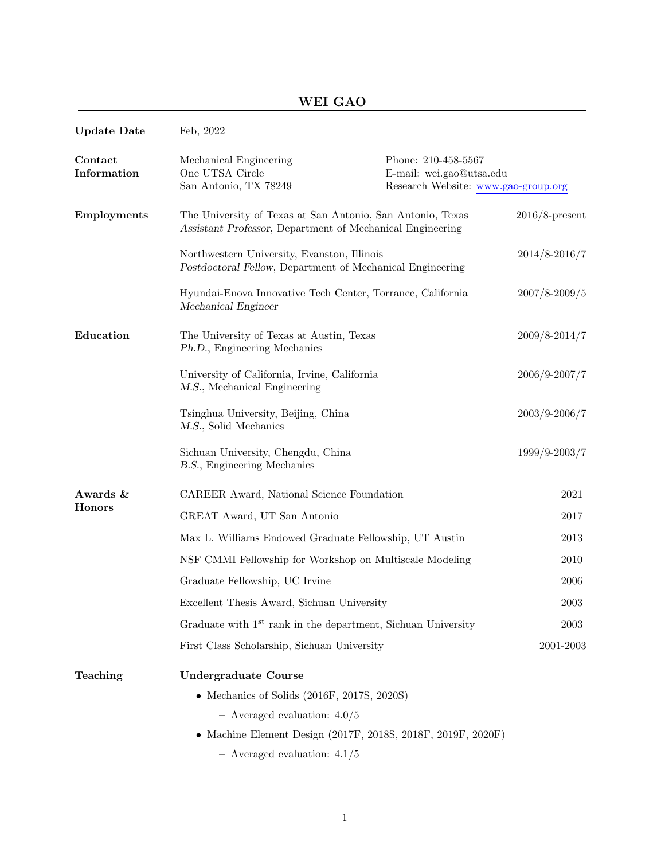# WEI GAO

| <b>Update Date</b>        | Feb, 2022                                                                                                               |                                                                                        |                   |
|---------------------------|-------------------------------------------------------------------------------------------------------------------------|----------------------------------------------------------------------------------------|-------------------|
| Contact<br>Information    | Mechanical Engineering<br>One UTSA Circle<br>San Antonio, TX 78249                                                      | Phone: 210-458-5567<br>E-mail: wei.gao@utsa.edu<br>Research Website: www.gao-group.org |                   |
| <b>Employments</b>        | The University of Texas at San Antonio, San Antonio, Texas<br>Assistant Professor, Department of Mechanical Engineering |                                                                                        | $2016/8$ -present |
|                           | Northwestern University, Evanston, Illinois<br>Postdoctoral Fellow, Department of Mechanical Engineering                |                                                                                        | 2014/8-2016/7     |
|                           | Hyundai-Enova Innovative Tech Center, Torrance, California<br>Mechanical Engineer                                       |                                                                                        | 2007/8-2009/5     |
| Education                 | The University of Texas at Austin, Texas<br>Ph.D., Engineering Mechanics                                                |                                                                                        | $2009/8 - 2014/7$ |
|                           | University of California, Irvine, California<br>M.S., Mechanical Engineering                                            |                                                                                        | 2006/9-2007/7     |
|                           | Tsinghua University, Beijing, China<br>M.S., Solid Mechanics                                                            |                                                                                        | 2003/9-2006/7     |
|                           | Sichuan University, Chengdu, China<br>B.S., Engineering Mechanics                                                       |                                                                                        | 1999/9-2003/7     |
| Awards &<br><b>Honors</b> | CAREER Award, National Science Foundation                                                                               |                                                                                        | 2021              |
|                           | GREAT Award, UT San Antonio                                                                                             |                                                                                        | 2017              |
|                           | Max L. Williams Endowed Graduate Fellowship, UT Austin                                                                  |                                                                                        | 2013              |
|                           | NSF CMMI Fellowship for Workshop on Multiscale Modeling                                                                 |                                                                                        | 2010              |
|                           | Graduate Fellowship, UC Irvine                                                                                          |                                                                                        | 2006              |
|                           | Excellent Thesis Award, Sichuan University                                                                              |                                                                                        | 2003              |
|                           | Graduate with 1 <sup>st</sup> rank in the department, Sichuan University                                                |                                                                                        | 2003              |
|                           | First Class Scholarship, Sichuan University                                                                             |                                                                                        | 2001-2003         |
| Teaching                  | <b>Undergraduate Course</b>                                                                                             |                                                                                        |                   |
|                           | • Mechanics of Solids $(2016F, 2017S, 2020S)$                                                                           |                                                                                        |                   |
|                           | $-$ Averaged evaluation: $4.0/5$                                                                                        |                                                                                        |                   |
|                           |                                                                                                                         | • Machine Element Design (2017F, 2018S, 2018F, 2019F, 2020F)                           |                   |
|                           | $-$ Averaged evaluation: $4.1/5$                                                                                        |                                                                                        |                   |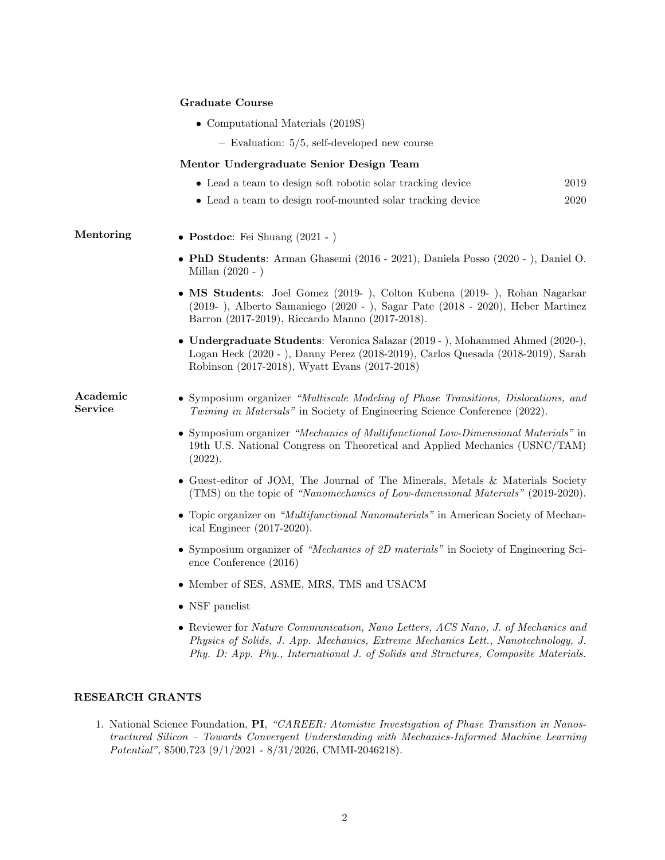#### Graduate Course

- Computational Materials (2019S)
	- Evaluation: 5/5, self-developed new course

#### Mentor Undergraduate Senior Design Team

- Lead a team to design soft robotic solar tracking device 2019
- Lead a team to design roof-mounted solar tracking device 2020

# Mentoring • Postdoc: Fei Shuang (2021 - )

- PhD Students: Arman Ghasemi (2016 2021), Daniela Posso (2020 ), Daniel O. Millan (2020 - )
- MS Students: Joel Gomez (2019- ), Colton Kubena (2019- ), Rohan Nagarkar (2019- ), Alberto Samaniego (2020 - ), Sagar Pate (2018 - 2020), Heber Martinez Barron (2017-2019), Riccardo Manno (2017-2018).
- Undergraduate Students: Veronica Salazar (2019 ), Mohammed Ahmed (2020-), Logan Heck (2020 - ), Danny Perez (2018-2019), Carlos Quesada (2018-2019), Sarah Robinson (2017-2018), Wyatt Evans (2017-2018)

Academic Service

- Symposium organizer "Multiscale Modeling of Phase Transitions, Dislocations, and Twining in Materials" in Society of Engineering Science Conference (2022).
- Symposium organizer "Mechanics of Multifunctional Low-Dimensional Materials" in 19th U.S. National Congress on Theoretical and Applied Mechanics (USNC/TAM) (2022).
- Guest-editor of JOM, The Journal of The Minerals, Metals & Materials Society (TMS) on the topic of "Nanomechanics of Low-dimensional Materials" (2019-2020).
- Topic organizer on "*Multifunctional Nanomaterials*" in American Society of Mechanical Engineer (2017-2020).
- Symposium organizer of "Mechanics of 2D materials" in Society of Engineering Science Conference (2016)
- Member of SES, ASME, MRS, TMS and USACM
- NSF panelist
- Reviewer for Nature Communication, Nano Letters, ACS Nano, J. of Mechanics and Physics of Solids, J. App. Mechanics, Extreme Mechanics Lett., Nanotechnology, J. Phy. D: App. Phy., International J. of Solids and Structures, Composite Materials.

## RESEARCH GRANTS

1. National Science Foundation, PI, "CAREER: Atomistic Investigation of Phase Transition in Nanostructured Silicon – Towards Convergent Understanding with Mechanics-Informed Machine Learning Potential", \$500,723 (9/1/2021 - 8/31/2026, CMMI-2046218).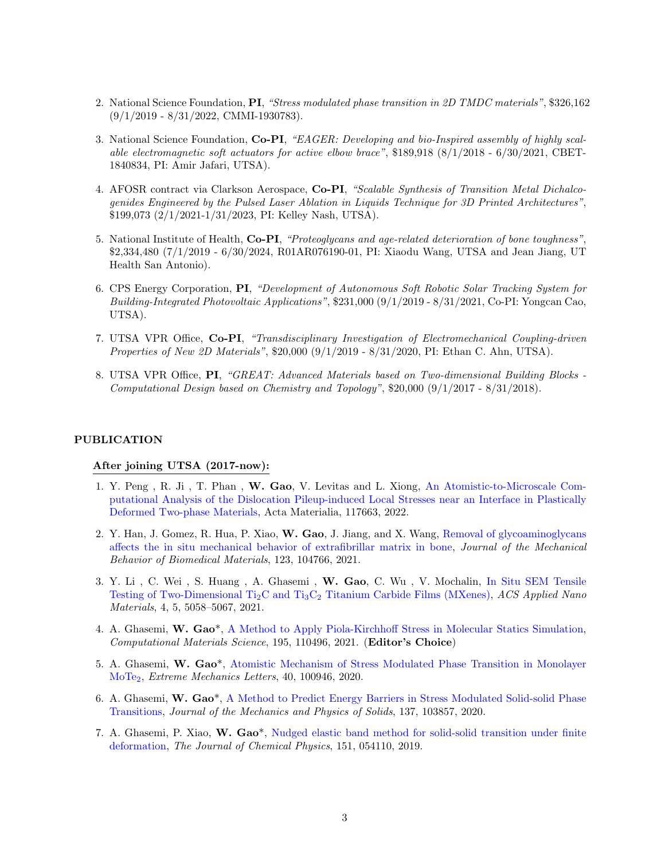- 2. National Science Foundation, PI, "Stress modulated phase transition in 2D TMDC materials", \$326,162 (9/1/2019 - 8/31/2022, CMMI-1930783).
- 3. National Science Foundation, Co-PI, "EAGER: Developing and bio-Inspired assembly of highly scalable electromagnetic soft actuators for active elbow brace", \$189,918 (8/1/2018 - 6/30/2021, CBET-1840834, PI: Amir Jafari, UTSA).
- 4. AFOSR contract via Clarkson Aerospace, Co-PI, "Scalable Synthesis of Transition Metal Dichalcogenides Engineered by the Pulsed Laser Ablation in Liquids Technique for 3D Printed Architectures", \$199,073 (2/1/2021-1/31/2023, PI: Kelley Nash, UTSA).
- 5. National Institute of Health, Co-PI, "Proteoglycans and age-related deterioration of bone toughness". \$2,334,480 (7/1/2019 - 6/30/2024, R01AR076190-01, PI: Xiaodu Wang, UTSA and Jean Jiang, UT Health San Antonio).
- 6. CPS Energy Corporation, PI, "Development of Autonomous Soft Robotic Solar Tracking System for Building-Integrated Photovoltaic Applications", \$231,000 (9/1/2019 - 8/31/2021, Co-PI: Yongcan Cao, UTSA).
- 7. UTSA VPR Office, Co-PI, "Transdisciplinary Investigation of Electromechanical Coupling-driven Properties of New 2D Materials", \$20,000 (9/1/2019 - 8/31/2020, PI: Ethan C. Ahn, UTSA).
- 8. UTSA VPR Office, PI, "GREAT: Advanced Materials based on Two-dimensional Building Blocks Computational Design based on Chemistry and Topology", \$20,000 (9/1/2017 - 8/31/2018).

### PUBLICATION

#### After joining UTSA (2017-now):

- 1. Y. Peng , R. Ji , T. Phan , W. Gao, V. Levitas and L. Xiong, An Atomistic-to-Microscale Computational Analysis of the Dislocation Pileup-induced Local Stresses near an Interface in Plastically Deformed Two-phase Materials, Acta Materialia, 117663, 2022.
- 2. Y. Han, J. Gomez, R. Hua, P. Xiao, W. Gao, J. Jiang, and X. Wang, Removal of glycoaminoglycans affects the in situ mechanical behavior of extrafibrillar matrix in bone, Journal of the Mechanical Behavior of Biomedical Materials, 123, 104766, 2021.
- 3. Y. Li , C. Wei , S. Huang , A. Ghasemi , W. Gao, C. Wu , V. Mochalin, In Situ SEM Tensile Testing of Two-Dimensional Ti<sub>2</sub>C and Ti<sub>3</sub>C<sub>2</sub> Titanium Carbide Films (MXenes), ACS Applied Nano Materials, 4, 5, 5058–5067, 2021.
- 4. A. Ghasemi, W. Gao\*, A Method to Apply Piola-Kirchhoff Stress in Molecular Statics Simulation, Computational Materials Science, 195, 110496, 2021. (Editor's Choice)
- 5. A. Ghasemi, W. Gao\*, Atomistic Mechanism of Stress Modulated Phase Transition in Monolayer MoTe2, Extreme Mechanics Letters, 40, 100946, 2020.
- 6. A. Ghasemi, W. Gao\*, A Method to Predict Energy Barriers in Stress Modulated Solid-solid Phase Transitions, Journal of the Mechanics and Physics of Solids, 137, 103857, 2020.
- 7. A. Ghasemi, P. Xiao, W. Gao\*, Nudged elastic band method for solid-solid transition under finite deformation, The Journal of Chemical Physics, 151, 054110, 2019.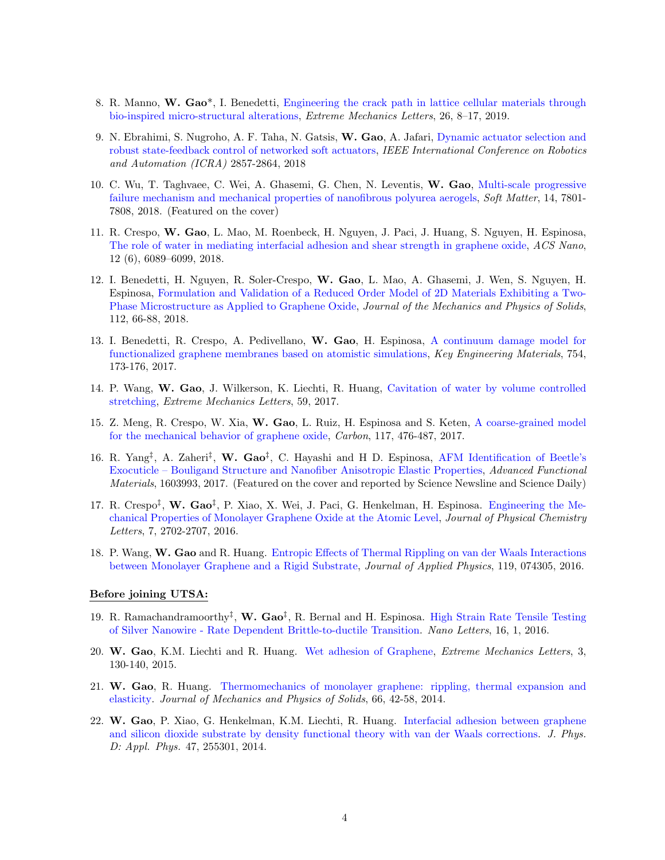- 8. R. Manno, W. Gao\*, I. Benedetti, Engineering the crack path in lattice cellular materials through bio-inspired micro-structural alterations, Extreme Mechanics Letters, 26, 8–17, 2019.
- 9. N. Ebrahimi, S. Nugroho, A. F. Taha, N. Gatsis, W. Gao, A. Jafari, Dynamic actuator selection and robust state-feedback control of networked soft actuators, IEEE International Conference on Robotics and Automation (ICRA) 2857-2864, 2018
- 10. C. Wu, T. Taghvaee, C. Wei, A. Ghasemi, G. Chen, N. Leventis, W. Gao, Multi-scale progressive failure mechanism and mechanical properties of nanofibrous polyurea aerogels, Soft Matter, 14, 7801-7808, 2018. (Featured on the cover)
- 11. R. Crespo, W. Gao, L. Mao, M. Roenbeck, H. Nguyen, J. Paci, J. Huang, S. Nguyen, H. Espinosa, The role of water in mediating interfacial adhesion and shear strength in graphene oxide, ACS Nano, 12 (6), 6089–6099, 2018.
- 12. I. Benedetti, H. Nguyen, R. Soler-Crespo, W. Gao, L. Mao, A. Ghasemi, J. Wen, S. Nguyen, H. Espinosa, Formulation and Validation of a Reduced Order Model of 2D Materials Exhibiting a Two-Phase Microstructure as Applied to Graphene Oxide, Journal of the Mechanics and Physics of Solids, 112, 66-88, 2018.
- 13. I. Benedetti, R. Crespo, A. Pedivellano, W. Gao, H. Espinosa, A continuum damage model for functionalized graphene membranes based on atomistic simulations, Key Engineering Materials, 754, 173-176, 2017.
- 14. P. Wang, W. Gao, J. Wilkerson, K. Liechti, R. Huang, Cavitation of water by volume controlled stretching, Extreme Mechanics Letters, 59, 2017.
- 15. Z. Meng, R. Crespo, W. Xia, W. Gao, L. Ruiz, H. Espinosa and S. Keten, A coarse-grained model for the mechanical behavior of graphene oxide, Carbon, 117, 476-487, 2017.
- 16. R. Yang<sup>‡</sup>, A. Zaheri<sup>‡</sup>, W. Gao<sup>‡</sup>, C. Hayashi and H D. Espinosa, AFM Identification of Beetle's Exocuticle – Bouligand Structure and Nanofiber Anisotropic Elastic Properties, Advanced Functional Materials, 1603993, 2017. (Featured on the cover and reported by Science Newsline and Science Daily)
- 17. R. Crespo<sup>‡</sup>, W. Gao<sup>‡</sup>, P. Xiao, X. Wei, J. Paci, G. Henkelman, H. Espinosa. Engineering the Mechanical Properties of Monolayer Graphene Oxide at the Atomic Level, Journal of Physical Chemistry Letters, 7, 2702-2707, 2016.
- 18. P. Wang, W. Gao and R. Huang. Entropic Effects of Thermal Rippling on van der Waals Interactions between Monolayer Graphene and a Rigid Substrate, Journal of Applied Physics, 119, 074305, 2016.

#### Before joining UTSA:

- 19. R. Ramachandramoorthy<sup>‡</sup>, W. Gao<sup>‡</sup>, R. Bernal and H. Espinosa. High Strain Rate Tensile Testing of Silver Nanowire - Rate Dependent Brittle-to-ductile Transition. Nano Letters, 16, 1, 2016.
- 20. W. Gao, K.M. Liechti and R. Huang. Wet adhesion of Graphene, Extreme Mechanics Letters, 3, 130-140, 2015.
- 21. W. Gao, R. Huang. Thermomechanics of monolayer graphene: rippling, thermal expansion and elasticity. Journal of Mechanics and Physics of Solids, 66, 42-58, 2014.
- 22. W. Gao, P. Xiao, G. Henkelman, K.M. Liechti, R. Huang. Interfacial adhesion between graphene and silicon dioxide substrate by density functional theory with van der Waals corrections. J. Phys. D: Appl. Phys. 47, 255301, 2014.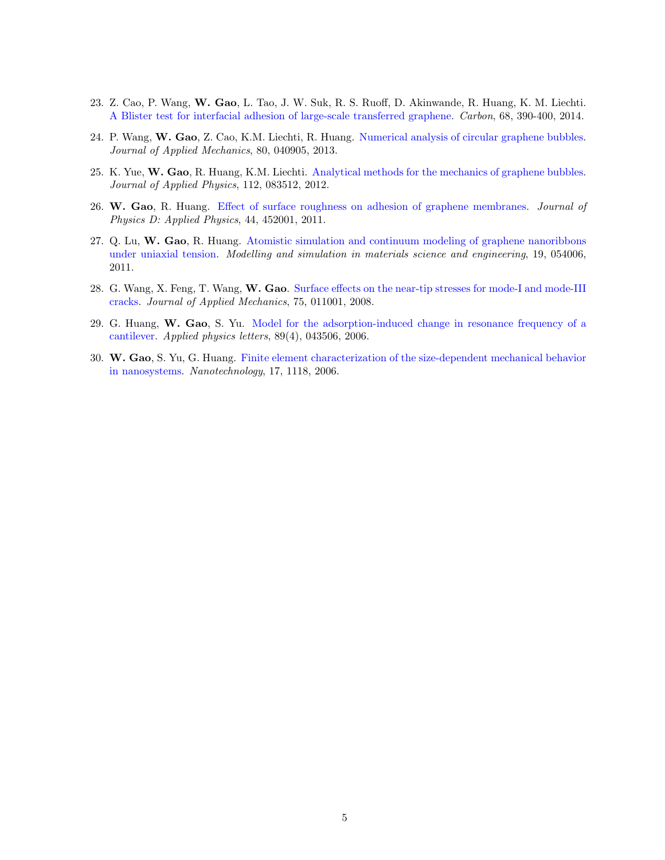- 23. Z. Cao, P. Wang, W. Gao, L. Tao, J. W. Suk, R. S. Ruoff, D. Akinwande, R. Huang, K. M. Liechti. A Blister test for interfacial adhesion of large-scale transferred graphene. Carbon, 68, 390-400, 2014.
- 24. P. Wang, W. Gao, Z. Cao, K.M. Liechti, R. Huang. Numerical analysis of circular graphene bubbles. Journal of Applied Mechanics, 80, 040905, 2013.
- 25. K. Yue, W. Gao, R. Huang, K.M. Liechti. Analytical methods for the mechanics of graphene bubbles. Journal of Applied Physics, 112, 083512, 2012.
- 26. W. Gao, R. Huang. Effect of surface roughness on adhesion of graphene membranes. Journal of Physics D: Applied Physics, 44, 452001, 2011.
- 27. Q. Lu, W. Gao, R. Huang. Atomistic simulation and continuum modeling of graphene nanoribbons under uniaxial tension. Modelling and simulation in materials science and engineering, 19, 054006, 2011.
- 28. G. Wang, X. Feng, T. Wang, W. Gao. Surface effects on the near-tip stresses for mode-I and mode-III cracks. Journal of Applied Mechanics, 75, 011001, 2008.
- 29. G. Huang, W. Gao, S. Yu. Model for the adsorption-induced change in resonance frequency of a cantilever. Applied physics letters, 89(4), 043506, 2006.
- 30. W. Gao, S. Yu, G. Huang. Finite element characterization of the size-dependent mechanical behavior in nanosystems. Nanotechnology, 17, 1118, 2006.